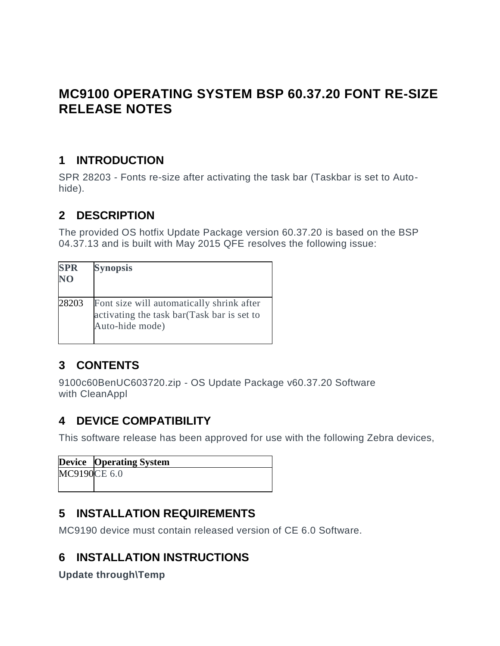# **MC9100 OPERATING SYSTEM BSP 60.37.20 FONT RE-SIZE RELEASE NOTES**

#### **1 INTRODUCTION**

**SPR 28203 - Fonts re-size after activating the task bar (Taskbar is set to Autohide).**

#### **2 DESCRIPTION**

**The provided OS hotfix Update Package version 60.37.20 is based on the BSP 04.37.13 and is built with May 2015 QFE resolves the following issue:**

| <b>SPR</b><br>NO | <b>Synopsis</b>                                                                                            |
|------------------|------------------------------------------------------------------------------------------------------------|
| 28203            | Font size will automatically shrink after<br>activating the task bar(Task bar is set to<br>Auto-hide mode) |

## **3 CONTENTS**

**9100c60BenUC603720.zip - OS Update Package v60.37.20 Software with CleanAppl**

### **4 DEVICE COMPATIBILITY**

**This software release has been approved for use with the following Zebra devices,**

|              | <b>Device</b> Operating System |
|--------------|--------------------------------|
| MC9190CE 6.0 |                                |
|              |                                |

#### **5 INSTALLATION REQUIREMENTS**

**MC9190 device must contain released version of CE 6.0 Software.**

## **6 INSTALLATION INSTRUCTIONS**

**Update through\Temp**